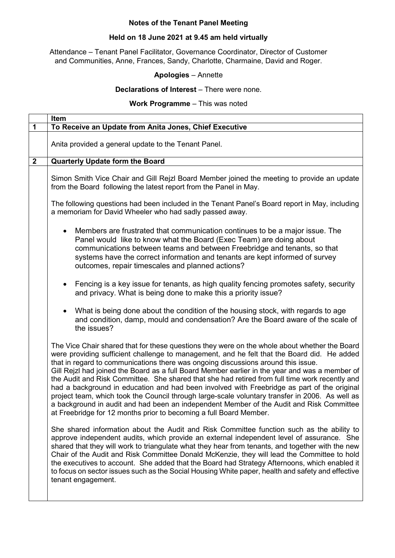# **Notes of the Tenant Panel Meeting**

## **Held on 18 June 2021 at 9.45 am held virtually**

Attendance – Tenant Panel Facilitator, Governance Coordinator, Director of Customer and Communities, Anne, Frances, Sandy, Charlotte, Charmaine, David and Roger.

## **Apologies** – Annette

#### **Declarations of Interest** – There were none.

#### **Work Programme** – This was noted

|                  | <b>Item</b>                                                                                                                                                                                                                                                                                                                                                                                                                                                                                                                                                                                                                                                                                                                                                                                                                                               |
|------------------|-----------------------------------------------------------------------------------------------------------------------------------------------------------------------------------------------------------------------------------------------------------------------------------------------------------------------------------------------------------------------------------------------------------------------------------------------------------------------------------------------------------------------------------------------------------------------------------------------------------------------------------------------------------------------------------------------------------------------------------------------------------------------------------------------------------------------------------------------------------|
| $\mathbf 1$      | To Receive an Update from Anita Jones, Chief Executive                                                                                                                                                                                                                                                                                                                                                                                                                                                                                                                                                                                                                                                                                                                                                                                                    |
|                  | Anita provided a general update to the Tenant Panel.                                                                                                                                                                                                                                                                                                                                                                                                                                                                                                                                                                                                                                                                                                                                                                                                      |
| $\boldsymbol{2}$ | <b>Quarterly Update form the Board</b>                                                                                                                                                                                                                                                                                                                                                                                                                                                                                                                                                                                                                                                                                                                                                                                                                    |
|                  | Simon Smith Vice Chair and Gill Rejzl Board Member joined the meeting to provide an update<br>from the Board following the latest report from the Panel in May.<br>The following questions had been included in the Tenant Panel's Board report in May, including                                                                                                                                                                                                                                                                                                                                                                                                                                                                                                                                                                                         |
|                  | a memoriam for David Wheeler who had sadly passed away.                                                                                                                                                                                                                                                                                                                                                                                                                                                                                                                                                                                                                                                                                                                                                                                                   |
|                  | Members are frustrated that communication continues to be a major issue. The<br>Panel would like to know what the Board (Exec Team) are doing about<br>communications between teams and between Freebridge and tenants, so that<br>systems have the correct information and tenants are kept informed of survey<br>outcomes, repair timescales and planned actions?                                                                                                                                                                                                                                                                                                                                                                                                                                                                                       |
|                  | Fencing is a key issue for tenants, as high quality fencing promotes safety, security<br>$\bullet$<br>and privacy. What is being done to make this a priority issue?                                                                                                                                                                                                                                                                                                                                                                                                                                                                                                                                                                                                                                                                                      |
|                  | What is being done about the condition of the housing stock, with regards to age<br>$\bullet$<br>and condition, damp, mould and condensation? Are the Board aware of the scale of<br>the issues?                                                                                                                                                                                                                                                                                                                                                                                                                                                                                                                                                                                                                                                          |
|                  | The Vice Chair shared that for these questions they were on the whole about whether the Board<br>were providing sufficient challenge to management, and he felt that the Board did. He added<br>that in regard to communications there was ongoing discussions around this issue.<br>Gill Rejzl had joined the Board as a full Board Member earlier in the year and was a member of<br>the Audit and Risk Committee. She shared that she had retired from full time work recently and<br>had a background in education and had been involved with Freebridge as part of the original<br>project team, which took the Council through large-scale voluntary transfer in 2006. As well as<br>a background in audit and had been an independent Member of the Audit and Risk Committee<br>at Freebridge for 12 months prior to becoming a full Board Member. |
|                  | She shared information about the Audit and Risk Committee function such as the ability to<br>approve independent audits, which provide an external independent level of assurance. She<br>shared that they will work to triangulate what they hear from tenants, and together with the new<br>Chair of the Audit and Risk Committee Donald McKenzie, they will lead the Committee to hold<br>the executives to account. She added that the Board had Strategy Afternoons, which enabled it<br>to focus on sector issues such as the Social Housing White paper, health and safety and effective<br>tenant engagement.                                                                                                                                                                                                                                     |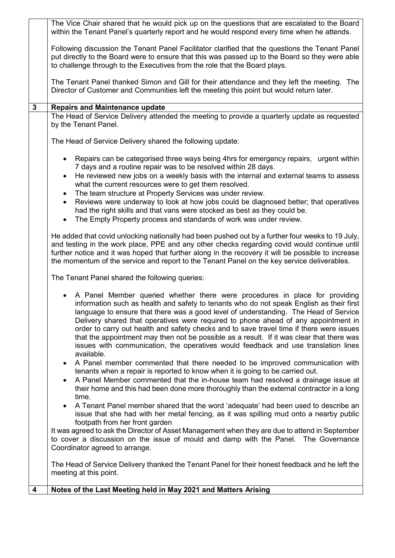|              | The Vice Chair shared that he would pick up on the questions that are escalated to the Board<br>within the Tenant Panel's quarterly report and he would respond every time when he attends.                                                                                                                                                                                                                                                                                                                                                                                                                                                        |
|--------------|----------------------------------------------------------------------------------------------------------------------------------------------------------------------------------------------------------------------------------------------------------------------------------------------------------------------------------------------------------------------------------------------------------------------------------------------------------------------------------------------------------------------------------------------------------------------------------------------------------------------------------------------------|
|              | Following discussion the Tenant Panel Facilitator clarified that the questions the Tenant Panel<br>put directly to the Board were to ensure that this was passed up to the Board so they were able<br>to challenge through to the Executives from the role that the Board plays.                                                                                                                                                                                                                                                                                                                                                                   |
|              | The Tenant Panel thanked Simon and Gill for their attendance and they left the meeting.<br>The<br>Director of Customer and Communities left the meeting this point but would return later.                                                                                                                                                                                                                                                                                                                                                                                                                                                         |
| $\mathbf{3}$ | <b>Repairs and Maintenance update</b>                                                                                                                                                                                                                                                                                                                                                                                                                                                                                                                                                                                                              |
|              | The Head of Service Delivery attended the meeting to provide a quarterly update as requested<br>by the Tenant Panel.                                                                                                                                                                                                                                                                                                                                                                                                                                                                                                                               |
|              | The Head of Service Delivery shared the following update:                                                                                                                                                                                                                                                                                                                                                                                                                                                                                                                                                                                          |
|              | Repairs can be categorised three ways being 4hrs for emergency repairs, urgent within<br>$\bullet$<br>7 days and a routine repair was to be resolved within 28 days.                                                                                                                                                                                                                                                                                                                                                                                                                                                                               |
|              | He reviewed new jobs on a weekly basis with the internal and external teams to assess<br>$\bullet$<br>what the current resources were to get them resolved.<br>The team structure at Property Services was under review.<br>$\bullet$                                                                                                                                                                                                                                                                                                                                                                                                              |
|              | Reviews were underway to look at how jobs could be diagnosed better; that operatives<br>$\bullet$<br>had the right skills and that vans were stocked as best as they could be.<br>The Empty Property process and standards of work was under review.                                                                                                                                                                                                                                                                                                                                                                                               |
|              | He added that covid unlocking nationally had been pushed out by a further four weeks to 19 July,<br>and testing in the work place, PPE and any other checks regarding covid would continue until<br>further notice and it was hoped that further along in the recovery it will be possible to increase<br>the momentum of the service and report to the Tenant Panel on the key service deliverables.                                                                                                                                                                                                                                              |
|              | The Tenant Panel shared the following queries:                                                                                                                                                                                                                                                                                                                                                                                                                                                                                                                                                                                                     |
|              | A Panel Member queried whether there were procedures in place for providing<br>information such as health and safety to tenants who do not speak English as their first<br>language to ensure that there was a good level of understanding. The Head of Service<br>Delivery shared that operatives were required to phone ahead of any appointment in<br>order to carry out health and safety checks and to save travel time if there were issues<br>that the appointment may then not be possible as a result. If it was clear that there was<br>issues with communication, the operatives would feedback and use translation lines<br>available. |
|              | A Panel member commented that there needed to be improved communication with<br>tenants when a repair is reported to know when it is going to be carried out.<br>A Panel Member commented that the in-house team had resolved a drainage issue at<br>$\bullet$<br>their home and this had been done more thoroughly than the external contractor in a long                                                                                                                                                                                                                                                                                         |
|              | time.<br>A Tenant Panel member shared that the word 'adequate' had been used to describe an<br>issue that she had with her metal fencing, as it was spilling mud onto a nearby public<br>footpath from her front garden                                                                                                                                                                                                                                                                                                                                                                                                                            |
|              | It was agreed to ask the Director of Asset Management when they are due to attend in September<br>to cover a discussion on the issue of mould and damp with the Panel. The Governance<br>Coordinator agreed to arrange.                                                                                                                                                                                                                                                                                                                                                                                                                            |
|              | The Head of Service Delivery thanked the Tenant Panel for their honest feedback and he left the<br>meeting at this point.                                                                                                                                                                                                                                                                                                                                                                                                                                                                                                                          |
| 4            | Notes of the Last Meeting held in May 2021 and Matters Arising                                                                                                                                                                                                                                                                                                                                                                                                                                                                                                                                                                                     |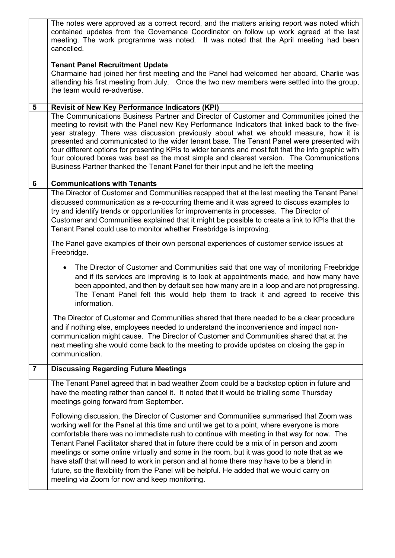|                | The notes were approved as a correct record, and the matters arising report was noted which<br>contained updates from the Governance Coordinator on follow up work agreed at the last<br>meeting. The work programme was noted. It was noted that the April meeting had been<br>cancelled.                                                                                                                                                                                                                                                                                                                                                                                                                               |
|----------------|--------------------------------------------------------------------------------------------------------------------------------------------------------------------------------------------------------------------------------------------------------------------------------------------------------------------------------------------------------------------------------------------------------------------------------------------------------------------------------------------------------------------------------------------------------------------------------------------------------------------------------------------------------------------------------------------------------------------------|
|                | <b>Tenant Panel Recruitment Update</b><br>Charmaine had joined her first meeting and the Panel had welcomed her aboard, Charlie was<br>attending his first meeting from July. Once the two new members were settled into the group,<br>the team would re-advertise.                                                                                                                                                                                                                                                                                                                                                                                                                                                      |
| 5              | <b>Revisit of New Key Performance Indicators (KPI)</b>                                                                                                                                                                                                                                                                                                                                                                                                                                                                                                                                                                                                                                                                   |
|                | The Communications Business Partner and Director of Customer and Communities joined the<br>meeting to revisit with the Panel new Key Performance Indicators that linked back to the five-<br>year strategy. There was discussion previously about what we should measure, how it is<br>presented and communicated to the wider tenant base. The Tenant Panel were presented with<br>four different options for presenting KPIs to wider tenants and most felt that the info graphic with<br>four coloured boxes was best as the most simple and clearest version. The Communications<br>Business Partner thanked the Tenant Panel for their input and he left the meeting                                                |
| 6              | <b>Communications with Tenants</b>                                                                                                                                                                                                                                                                                                                                                                                                                                                                                                                                                                                                                                                                                       |
|                | The Director of Customer and Communities recapped that at the last meeting the Tenant Panel<br>discussed communication as a re-occurring theme and it was agreed to discuss examples to<br>try and identify trends or opportunities for improvements in processes. The Director of<br>Customer and Communities explained that it might be possible to create a link to KPIs that the<br>Tenant Panel could use to monitor whether Freebridge is improving.                                                                                                                                                                                                                                                               |
|                | The Panel gave examples of their own personal experiences of customer service issues at<br>Freebridge.                                                                                                                                                                                                                                                                                                                                                                                                                                                                                                                                                                                                                   |
|                | The Director of Customer and Communities said that one way of monitoring Freebridge<br>and if its services are improving is to look at appointments made, and how many have<br>been appointed, and then by default see how many are in a loop and are not progressing.<br>The Tenant Panel felt this would help them to track it and agreed to receive this<br>information.                                                                                                                                                                                                                                                                                                                                              |
|                | The Director of Customer and Communities shared that there needed to be a clear procedure<br>and if nothing else, employees needed to understand the inconvenience and impact non-<br>communication might cause. The Director of Customer and Communities shared that at the<br>next meeting she would come back to the meeting to provide updates on closing the gap in<br>communication.                                                                                                                                                                                                                                                                                                                               |
| $\overline{7}$ | <b>Discussing Regarding Future Meetings</b>                                                                                                                                                                                                                                                                                                                                                                                                                                                                                                                                                                                                                                                                              |
|                | The Tenant Panel agreed that in bad weather Zoom could be a backstop option in future and<br>have the meeting rather than cancel it. It noted that it would be trialling some Thursday<br>meetings going forward from September.                                                                                                                                                                                                                                                                                                                                                                                                                                                                                         |
|                | Following discussion, the Director of Customer and Communities summarised that Zoom was<br>working well for the Panel at this time and until we get to a point, where everyone is more<br>comfortable there was no immediate rush to continue with meeting in that way for now. The<br>Tenant Panel Facilitator shared that in future there could be a mix of in person and zoom<br>meetings or some online virtually and some in the room, but it was good to note that as we<br>have staff that will need to work in person and at home there may have to be a blend in<br>future, so the flexibility from the Panel will be helpful. He added that we would carry on<br>meeting via Zoom for now and keep monitoring. |